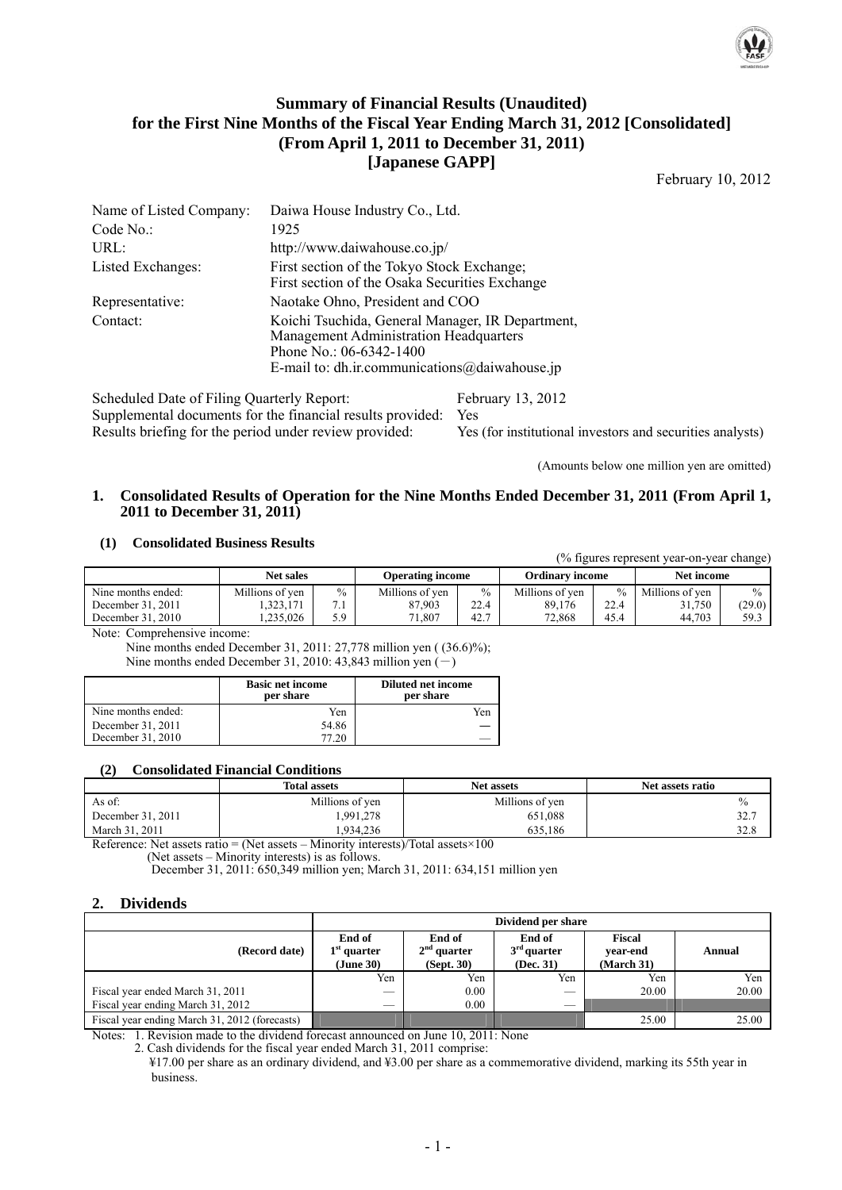

### **Summary of Financial Results (Unaudited) for the First Nine Months of the Fiscal Year Ending March 31, 2012 [Consolidated] (From April 1, 2011 to December 31, 2011) [Japanese GAPP]**

February 10, 2012

| Name of Listed Company:                | Daiwa House Industry Co., Ltd.                                                                                                                                           |
|----------------------------------------|--------------------------------------------------------------------------------------------------------------------------------------------------------------------------|
| Code No.                               | 1925                                                                                                                                                                     |
| URL:                                   | http://www.daiwahouse.co.jp/                                                                                                                                             |
| Listed Exchanges:                      | First section of the Tokyo Stock Exchange;<br>First section of the Osaka Securities Exchange                                                                             |
| Representative:                        | Naotake Ohno, President and COO                                                                                                                                          |
| Contact:                               | Koichi Tsuchida, General Manager, IR Department,<br>Management Administration Headquarters<br>Phone No.: $06-6342-1400$<br>E-mail to: dh.ir.communications@daiwahouse.jp |
| $0.1.11.1.1$ Detail $0.11.1.$ $\alpha$ | $E_{\text{obs}} = 12.010$                                                                                                                                                |

Scheduled Date of Filing Quarterly Report: February 13, 2012 Supplemental documents for the financial results provided: Yes Results briefing for the period under review provided: Yes (for institutional investors and securities analysts)

(Amounts below one million yen are omitted)

(% figures represent year-on-year change)

#### **1. Consolidated Results of Operation for the Nine Months Ended December 31, 2011 (From April 1, 2011 to December 31, 2011)**

#### **(1) Consolidated Business Results**

|                    |                  |               |                         |      |                        |               | $\frac{1}{2}$ is $\frac{1}{2}$ in $\frac{1}{2}$ in $\frac{1}{2}$ in $\frac{1}{2}$ in $\frac{1}{2}$ in $\frac{1}{2}$ |               |
|--------------------|------------------|---------------|-------------------------|------|------------------------|---------------|---------------------------------------------------------------------------------------------------------------------|---------------|
|                    | <b>Net sales</b> |               | <b>Operating income</b> |      | <b>Ordinary income</b> |               | Net income                                                                                                          |               |
| Nine months ended: | Millions of ven  | $\frac{0}{0}$ | Millions of ven         | $\%$ | Millions of yen        | $\frac{0}{0}$ | Millions of ven                                                                                                     | $\frac{0}{0}$ |
| December 31, 2011  | .323.171         |               | 87.903                  | 22.4 | 89.176                 | 22.4          | 31.750                                                                                                              | (29.0)        |
| December 31, 2010  | .235.026         | 5.9           | 71.807                  | 42.7 | 72,868                 | 45.4          | 44.703                                                                                                              | 59.3          |

Note: Comprehensive income:

 Nine months ended December 31, 2011: 27,778 million yen ( (36.6)%); Nine months ended December 31, 2010: 43,843 million yen  $(-)$ 

|                    | <b>Basic net income</b><br>per share | <b>Diluted net income</b><br>per share |
|--------------------|--------------------------------------|----------------------------------------|
| Nine months ended: | Yen                                  | Yen                                    |
| December 31, 2011  | 54.86                                |                                        |
| December 31, 2010  | 77.20                                |                                        |

#### **(2) Consolidated Financial Conditions**

|                   | <b>Total assets</b> | <b>Net assets</b> | Net assets ratio |
|-------------------|---------------------|-------------------|------------------|
| As of:            | Millions of yen     | Millions of yen   | $\%$             |
| December 31, 2011 | .991,278            | 651,088           | 32.7             |
| March 31, 2011    | .934.236            | 635,186           | 32.8             |

Reference: Net assets ratio = (Net assets – Minority interests)/Total assets $\times 100$ (Net assets – Minority interests) is as follows.

December 31, 2011: 650,349 million yen; March 31, 2011: 634,151 million yen

### **2. Dividends**

|                                               | Dividend per share                   |                                       |                                      |                                         |        |  |
|-----------------------------------------------|--------------------------------------|---------------------------------------|--------------------------------------|-----------------------------------------|--------|--|
| (Record date)                                 | End of<br>$1st$ quarter<br>(June 30) | End of<br>$2nd$ quarter<br>(Sept. 30) | End of<br>$3rd$ quarter<br>(Dec. 31) | <b>Fiscal</b><br>vear-end<br>(March 31) | Annual |  |
|                                               | Yen                                  | Yen                                   | Yen                                  | Yen                                     | Yen    |  |
| Fiscal year ended March 31, 2011              |                                      | 0.00                                  |                                      | 20.00                                   | 20.00  |  |
| Fiscal year ending March 31, 2012             |                                      | 0.00                                  | $\overline{\phantom{a}}$             |                                         |        |  |
| Fiscal year ending March 31, 2012 (forecasts) |                                      |                                       |                                      | 25.00                                   | 25.00  |  |

Notes: 1. Revision made to the dividend forecast announced on June 10, 2011: None

2. Cash dividends for the fiscal year ended March 31, 2011 comprise:

 ¥17.00 per share as an ordinary dividend, and ¥3.00 per share as a commemorative dividend, marking its 55th year in business.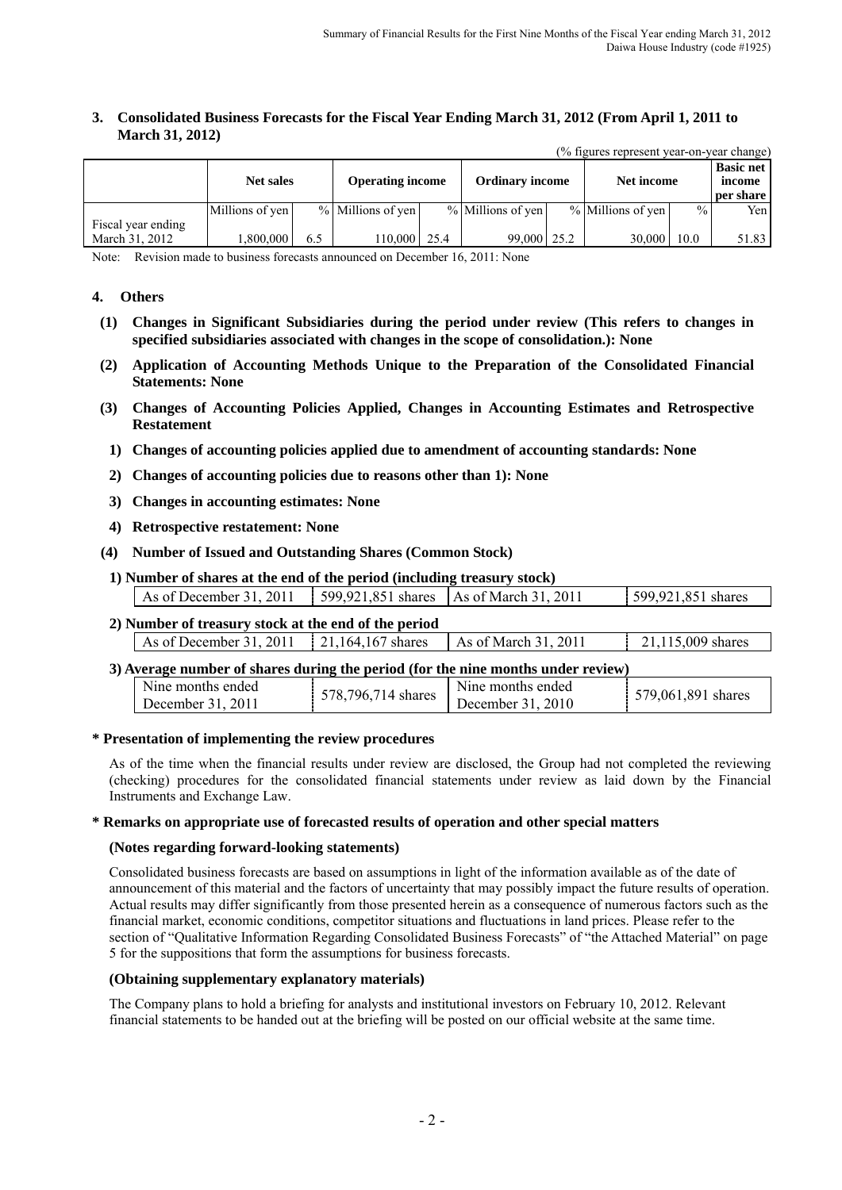#### **3. Consolidated Business Forecasts for the Fiscal Year Ending March 31, 2012 (From April 1, 2011 to March 31, 2012)**   $(0/5)$ gures represent year-on-year-olion-olion-olion-olion-olion-olion-olion-olion-olion-olion-olion-olion-olion-olion-olion-olion-olion-olion-olion-olion-olion-olion-olion-olion-olion-olion-olion-olion-olion-olion-olion

| (70 Tigures represent year-on-year change) |                  |     |                         |  |                        |  |                     |               |                                         |
|--------------------------------------------|------------------|-----|-------------------------|--|------------------------|--|---------------------|---------------|-----------------------------------------|
|                                            | <b>Net sales</b> |     | <b>Operating income</b> |  | <b>Ordinary income</b> |  | Net income          |               | <b>Basic net</b><br>income<br>per share |
|                                            | Millions of yen  |     | % Millions of yen       |  | % Millions of yen      |  | $%$ Millions of yen | $\frac{0}{0}$ | Yen                                     |
| Fiscal year ending<br>March 31, 2012       | .800.000         | 6.5 | 110,000   25.4          |  | $99,000$   25.2        |  | 30,000              | 10.0          | 51.83                                   |

Note: Revision made to business forecasts announced on December 16, 2011: None

#### **4. Others**

- **(1) Changes in Significant Subsidiaries during the period under review (This refers to changes in specified subsidiaries associated with changes in the scope of consolidation.): None**
- **(2) Application of Accounting Methods Unique to the Preparation of the Consolidated Financial Statements: None**
- **(3) Changes of Accounting Policies Applied, Changes in Accounting Estimates and Retrospective Restatement** 
	- **1) Changes of accounting policies applied due to amendment of accounting standards: None**
	- **2) Changes of accounting policies due to reasons other than 1): None**
	- **3) Changes in accounting estimates: None**
	- **4) Retrospective restatement: None**
- **(4) Number of Issued and Outstanding Shares (Common Stock)**

| 1) Number of shares at the end of the period (including treasury stock) |  |                    |
|-------------------------------------------------------------------------|--|--------------------|
| As of December 31, 2011   599,921,851 shares   As of March 31, 2011     |  | 599,921,851 shares |

# **2) Number of treasury stock at the end of the period**

| As of December 31, 2011   $21,164,167$ shares | $\vert$ As of March 31, 2011 | $121,115,009$ shares |
|-----------------------------------------------|------------------------------|----------------------|
|                                               |                              |                      |

#### **3) Average number of shares during the period (for the nine months under review)**

| Nine months ended<br>578.1<br>796.7<br>714 shares<br>2011<br>December 31 | Nine months ended<br>2010<br>December 31. | 579,061,891 shares |
|--------------------------------------------------------------------------|-------------------------------------------|--------------------|
|--------------------------------------------------------------------------|-------------------------------------------|--------------------|

#### **\* Presentation of implementing the review procedures**

As of the time when the financial results under review are disclosed, the Group had not completed the reviewing (checking) procedures for the consolidated financial statements under review as laid down by the Financial Instruments and Exchange Law.

#### **\* Remarks on appropriate use of forecasted results of operation and other special matters**

#### **(Notes regarding forward-looking statements)**

Consolidated business forecasts are based on assumptions in light of the information available as of the date of announcement of this material and the factors of uncertainty that may possibly impact the future results of operation. Actual results may differ significantly from those presented herein as a consequence of numerous factors such as the financial market, economic conditions, competitor situations and fluctuations in land prices. Please refer to the section of "Qualitative Information Regarding Consolidated Business Forecasts" of "the Attached Material" on page 5 for the suppositions that form the assumptions for business forecasts.

#### **(Obtaining supplementary explanatory materials)**

The Company plans to hold a briefing for analysts and institutional investors on February 10, 2012. Relevant financial statements to be handed out at the briefing will be posted on our official website at the same time.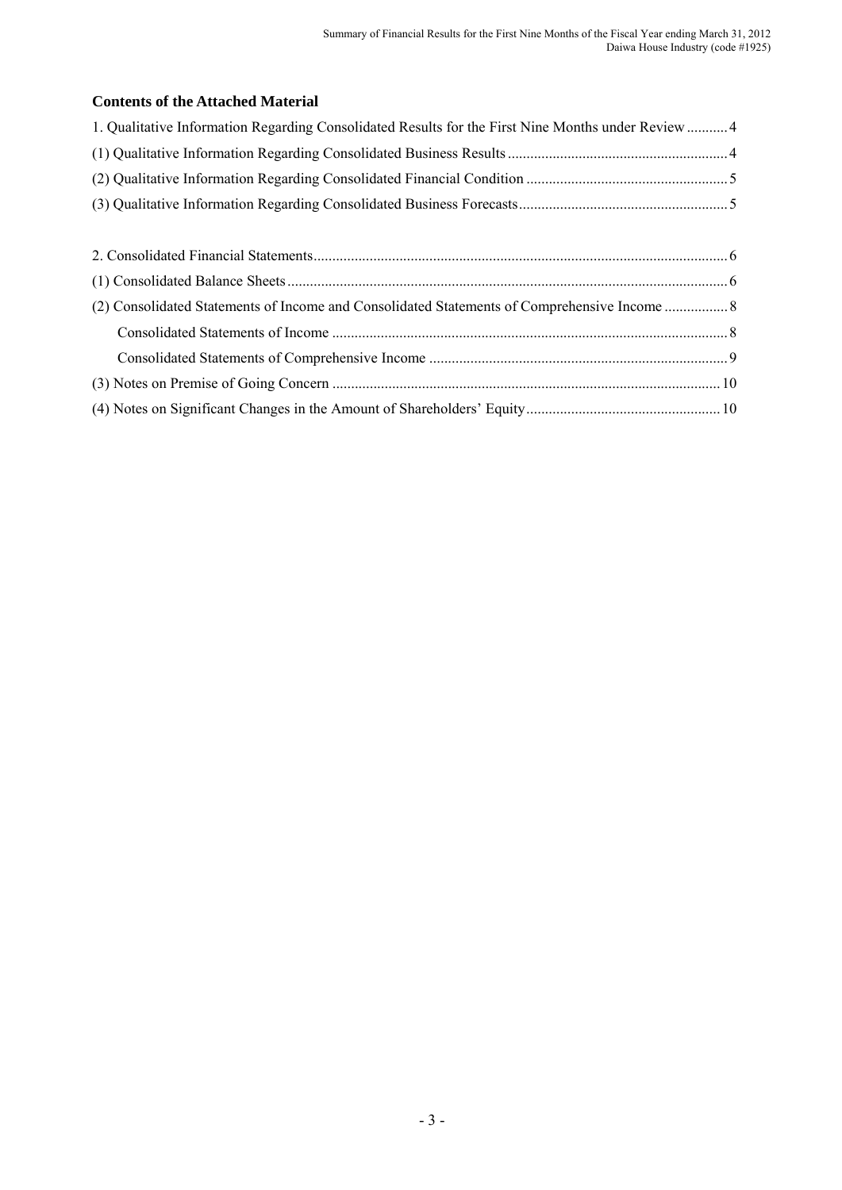### **Contents of the Attached Material**

| 1. Qualitative Information Regarding Consolidated Results for the First Nine Months under Review 4 |  |
|----------------------------------------------------------------------------------------------------|--|
|                                                                                                    |  |
|                                                                                                    |  |
|                                                                                                    |  |
|                                                                                                    |  |
|                                                                                                    |  |
|                                                                                                    |  |
| (2) Consolidated Statements of Income and Consolidated Statements of Comprehensive Income  8       |  |
|                                                                                                    |  |
|                                                                                                    |  |
|                                                                                                    |  |
|                                                                                                    |  |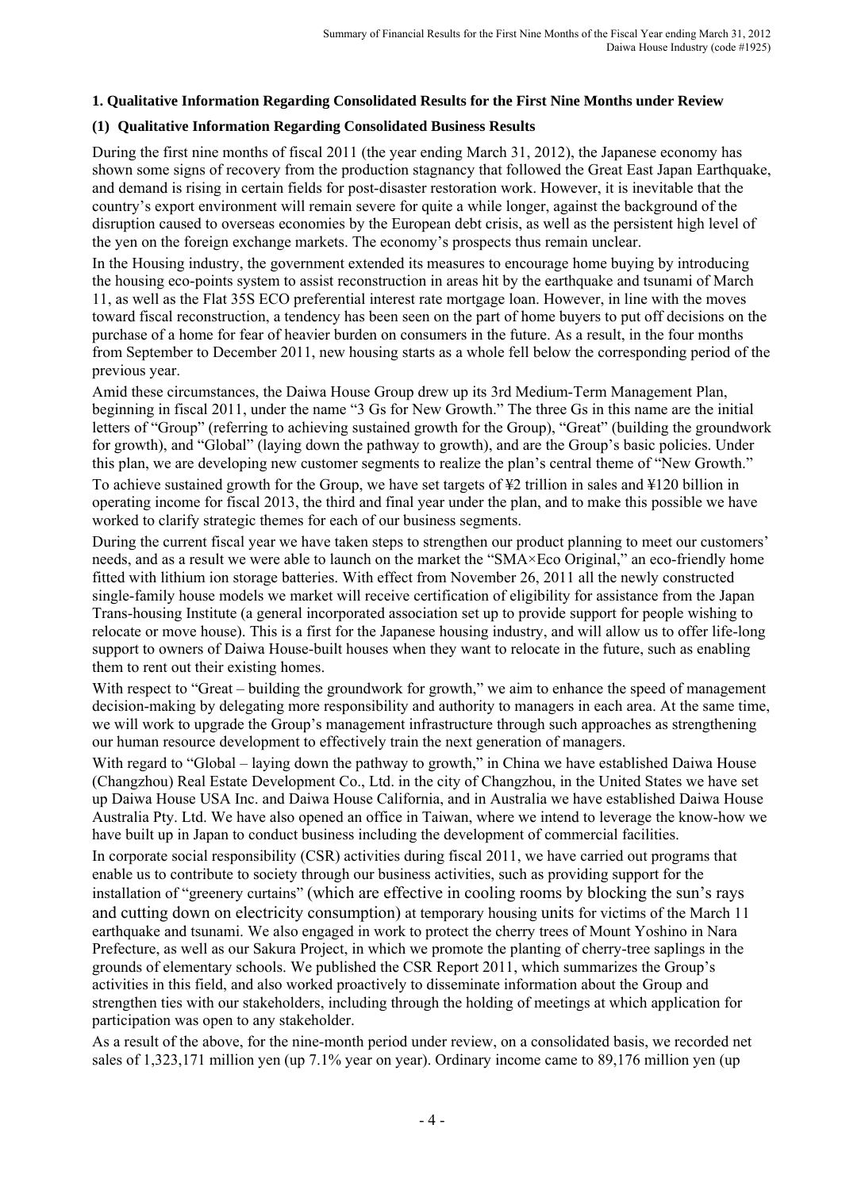### **1. Qualitative Information Regarding Consolidated Results for the First Nine Months under Review**

### **(1) Qualitative Information Regarding Consolidated Business Results**

During the first nine months of fiscal 2011 (the year ending March 31, 2012), the Japanese economy has shown some signs of recovery from the production stagnancy that followed the Great East Japan Earthquake, and demand is rising in certain fields for post-disaster restoration work. However, it is inevitable that the country's export environment will remain severe for quite a while longer, against the background of the disruption caused to overseas economies by the European debt crisis, as well as the persistent high level of the yen on the foreign exchange markets. The economy's prospects thus remain unclear.

In the Housing industry, the government extended its measures to encourage home buying by introducing the housing eco-points system to assist reconstruction in areas hit by the earthquake and tsunami of March 11, as well as the Flat 35S ECO preferential interest rate mortgage loan. However, in line with the moves toward fiscal reconstruction, a tendency has been seen on the part of home buyers to put off decisions on the purchase of a home for fear of heavier burden on consumers in the future. As a result, in the four months from September to December 2011, new housing starts as a whole fell below the corresponding period of the previous year.

Amid these circumstances, the Daiwa House Group drew up its 3rd Medium-Term Management Plan, beginning in fiscal 2011, under the name "3 Gs for New Growth." The three Gs in this name are the initial letters of "Group" (referring to achieving sustained growth for the Group), "Great" (building the groundwork for growth), and "Global" (laying down the pathway to growth), and are the Group's basic policies. Under this plan, we are developing new customer segments to realize the plan's central theme of "New Growth."

To achieve sustained growth for the Group, we have set targets of ¥2 trillion in sales and ¥120 billion in operating income for fiscal 2013, the third and final year under the plan, and to make this possible we have worked to clarify strategic themes for each of our business segments.

During the current fiscal year we have taken steps to strengthen our product planning to meet our customers' needs, and as a result we were able to launch on the market the "SMA×Eco Original," an eco-friendly home fitted with lithium ion storage batteries. With effect from November 26, 2011 all the newly constructed single-family house models we market will receive certification of eligibility for assistance from the Japan Trans-housing Institute (a general incorporated association set up to provide support for people wishing to relocate or move house). This is a first for the Japanese housing industry, and will allow us to offer life-long support to owners of Daiwa House-built houses when they want to relocate in the future, such as enabling them to rent out their existing homes.

With respect to "Great – building the groundwork for growth," we aim to enhance the speed of management decision-making by delegating more responsibility and authority to managers in each area. At the same time we will work to upgrade the Group's management infrastructure through such approaches as strengthening our human resource development to effectively train the next generation of managers.

With regard to "Global – laying down the pathway to growth," in China we have established Daiwa House (Changzhou) Real Estate Development Co., Ltd. in the city of Changzhou, in the United States we have set up Daiwa House USA Inc. and Daiwa House California, and in Australia we have established Daiwa House Australia Pty. Ltd. We have also opened an office in Taiwan, where we intend to leverage the know-how we have built up in Japan to conduct business including the development of commercial facilities.

In corporate social responsibility (CSR) activities during fiscal 2011, we have carried out programs that enable us to contribute to society through our business activities, such as providing support for the installation of "greenery curtains" (which are effective in cooling rooms by blocking the sun's rays and cutting down on electricity consumption) at temporary housing units for victims of the March 11 earthquake and tsunami. We also engaged in work to protect the cherry trees of Mount Yoshino in Nara Prefecture, as well as our Sakura Project, in which we promote the planting of cherry-tree saplings in the grounds of elementary schools. We published the CSR Report 2011, which summarizes the Group's activities in this field, and also worked proactively to disseminate information about the Group and strengthen ties with our stakeholders, including through the holding of meetings at which application for participation was open to any stakeholder.

As a result of the above, for the nine-month period under review, on a consolidated basis, we recorded net sales of 1,323,171 million yen (up 7.1% year on year). Ordinary income came to 89,176 million yen (up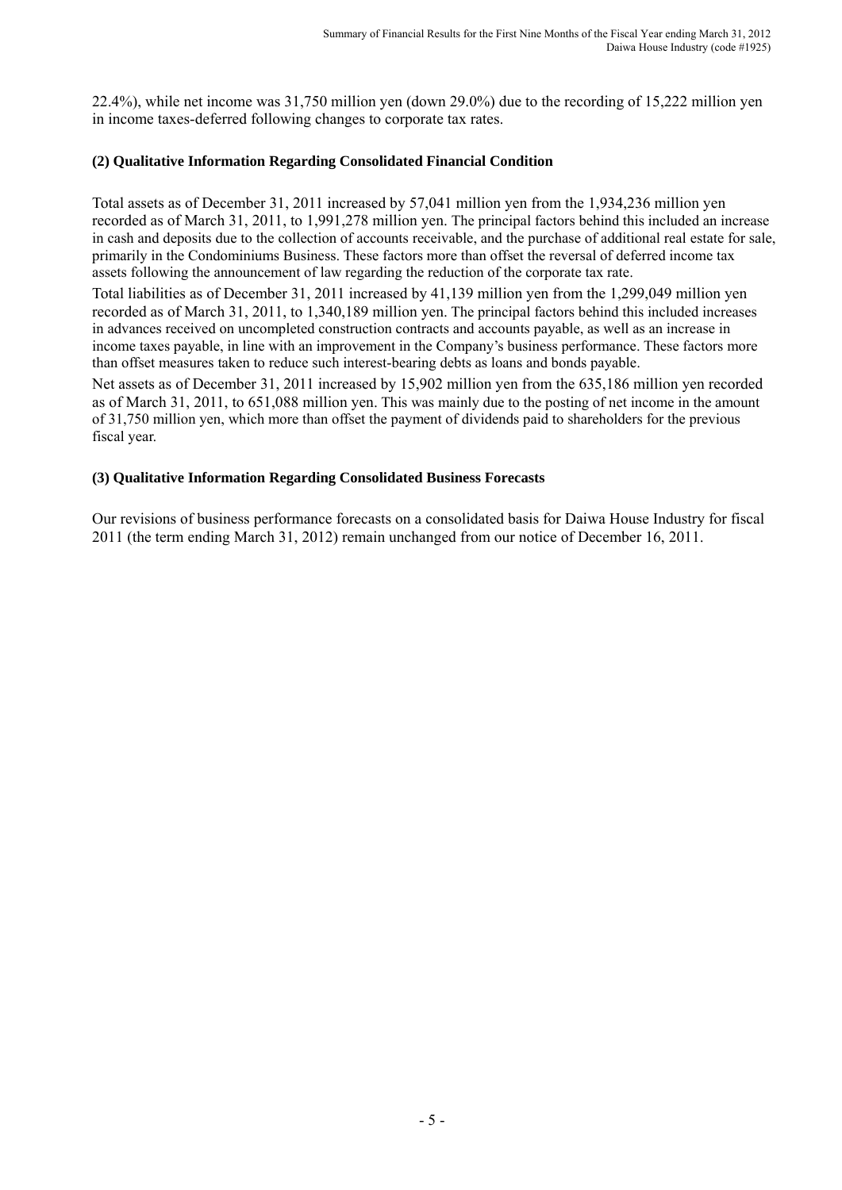22.4%), while net income was 31,750 million yen (down 29.0%) due to the recording of 15,222 million yen in income taxes-deferred following changes to corporate tax rates.

### **(2) Qualitative Information Regarding Consolidated Financial Condition**

Total assets as of December 31, 2011 increased by 57,041 million yen from the 1,934,236 million yen recorded as of March 31, 2011, to 1,991,278 million yen. The principal factors behind this included an increase in cash and deposits due to the collection of accounts receivable, and the purchase of additional real estate for sale, primarily in the Condominiums Business. These factors more than offset the reversal of deferred income tax assets following the announcement of law regarding the reduction of the corporate tax rate.

Total liabilities as of December 31, 2011 increased by 41,139 million yen from the 1,299,049 million yen recorded as of March 31, 2011, to 1,340,189 million yen. The principal factors behind this included increases in advances received on uncompleted construction contracts and accounts payable, as well as an increase in income taxes payable, in line with an improvement in the Company's business performance. These factors more than offset measures taken to reduce such interest-bearing debts as loans and bonds payable.

Net assets as of December 31, 2011 increased by 15,902 million yen from the 635,186 million yen recorded as of March 31, 2011, to 651,088 million yen. This was mainly due to the posting of net income in the amount of 31,750 million yen, which more than offset the payment of dividends paid to shareholders for the previous fiscal year.

### **(3) Qualitative Information Regarding Consolidated Business Forecasts**

Our revisions of business performance forecasts on a consolidated basis for Daiwa House Industry for fiscal 2011 (the term ending March 31, 2012) remain unchanged from our notice of December 16, 2011.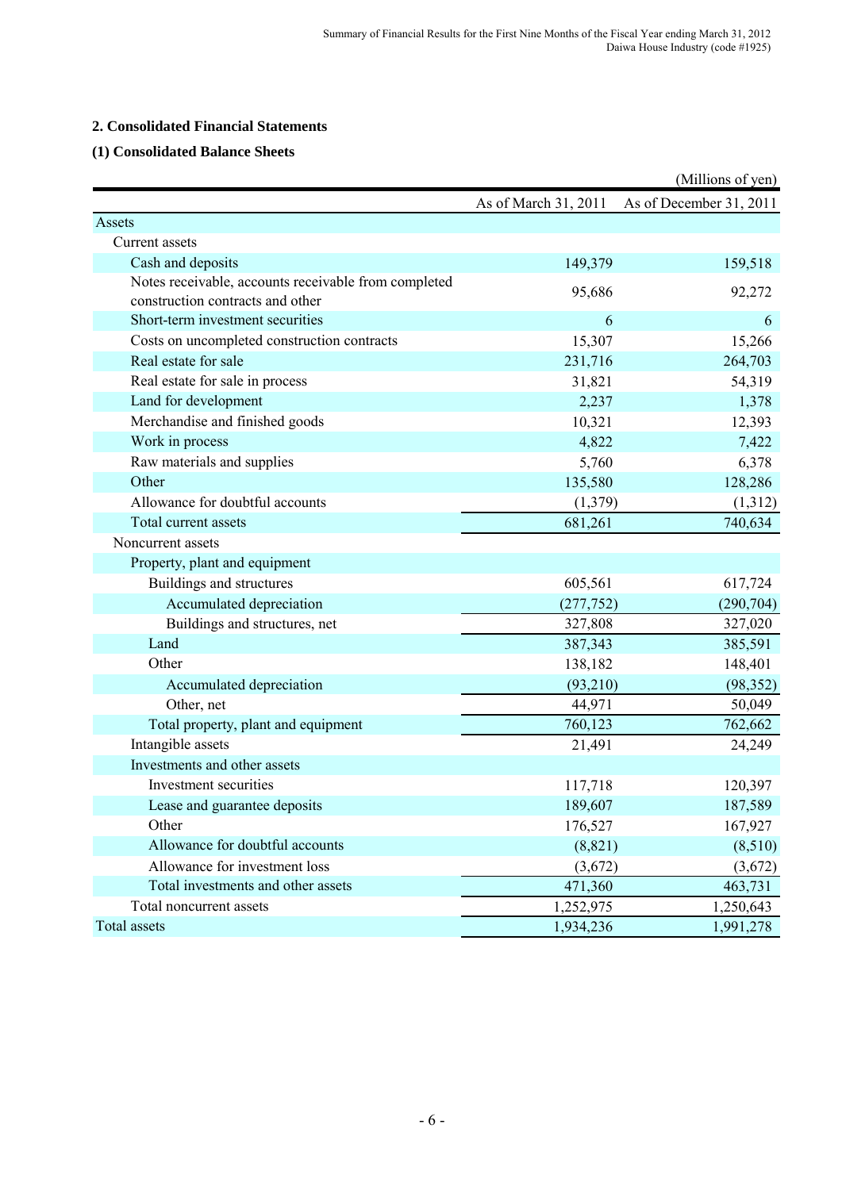### **2. Consolidated Financial Statements**

### **(1) Consolidated Balance Sheets**

|                                                      |                      | (Millions of yen)       |
|------------------------------------------------------|----------------------|-------------------------|
|                                                      | As of March 31, 2011 | As of December 31, 2011 |
| Assets                                               |                      |                         |
| Current assets                                       |                      |                         |
| Cash and deposits                                    | 149,379              | 159,518                 |
| Notes receivable, accounts receivable from completed | 95,686               | 92,272                  |
| construction contracts and other                     |                      |                         |
| Short-term investment securities                     | 6                    | 6                       |
| Costs on uncompleted construction contracts          | 15,307               | 15,266                  |
| Real estate for sale                                 | 231,716              | 264,703                 |
| Real estate for sale in process                      | 31,821               | 54,319                  |
| Land for development                                 | 2,237                | 1,378                   |
| Merchandise and finished goods                       | 10,321               | 12,393                  |
| Work in process                                      | 4,822                | 7,422                   |
| Raw materials and supplies                           | 5,760                | 6,378                   |
| Other                                                | 135,580              | 128,286                 |
| Allowance for doubtful accounts                      | (1,379)              | (1,312)                 |
| Total current assets                                 | 681,261              | 740,634                 |
| Noncurrent assets                                    |                      |                         |
| Property, plant and equipment                        |                      |                         |
| Buildings and structures                             | 605,561              | 617,724                 |
| Accumulated depreciation                             | (277, 752)           | (290, 704)              |
| Buildings and structures, net                        | 327,808              | 327,020                 |
| Land                                                 | 387,343              | 385,591                 |
| Other                                                | 138,182              | 148,401                 |
| Accumulated depreciation                             | (93, 210)            | (98, 352)               |
| Other, net                                           | 44,971               | 50,049                  |
| Total property, plant and equipment                  | 760,123              | 762,662                 |
| Intangible assets                                    | 21,491               | 24,249                  |
| Investments and other assets                         |                      |                         |
| Investment securities                                | 117,718              | 120,397                 |
| Lease and guarantee deposits                         | 189,607              | 187,589                 |
| Other                                                | 176,527              | 167,927                 |
| Allowance for doubtful accounts                      | (8, 821)             | (8,510)                 |
| Allowance for investment loss                        | (3,672)              | (3,672)                 |
| Total investments and other assets                   | 471,360              | 463,731                 |
| Total noncurrent assets                              | 1,252,975            | 1,250,643               |
| Total assets                                         | 1,934,236            | 1,991,278               |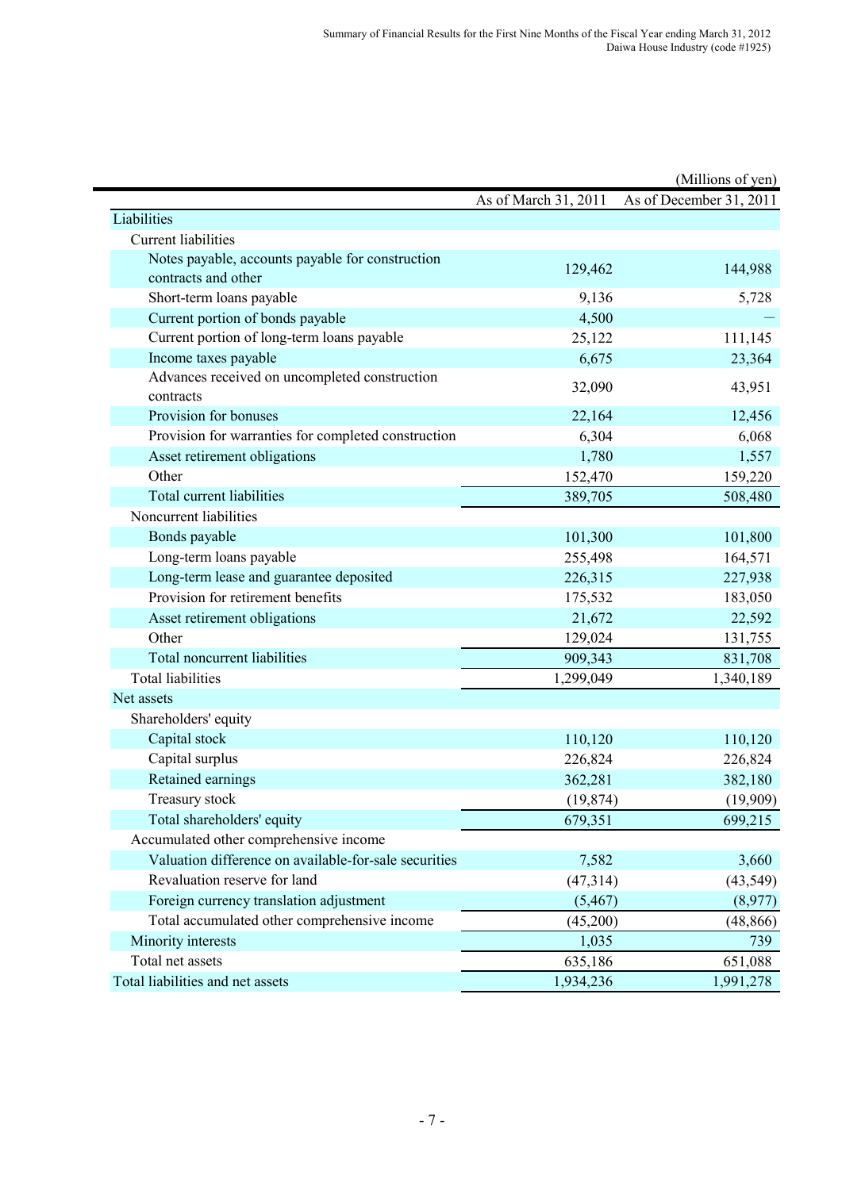|                                                            |                      | (Millions of yen)       |
|------------------------------------------------------------|----------------------|-------------------------|
|                                                            | As of March 31, 2011 | As of December 31, 2011 |
| Liabilities                                                |                      |                         |
| Current liabilities                                        |                      |                         |
| Notes payable, accounts payable for construction           | 129,462              | 144,988                 |
| contracts and other                                        |                      |                         |
| Short-term loans payable                                   | 9,136                | 5,728                   |
| Current portion of bonds payable                           | 4,500                |                         |
| Current portion of long-term loans payable                 | 25,122               | 111,145                 |
| Income taxes payable                                       | 6,675                | 23,364                  |
| Advances received on uncompleted construction<br>contracts | 32,090               | 43,951                  |
| Provision for bonuses                                      | 22,164               | 12,456                  |
| Provision for warranties for completed construction        | 6,304                | 6,068                   |
| Asset retirement obligations                               | 1,780                | 1,557                   |
| Other                                                      | 152,470              | 159,220                 |
| <b>Total current liabilities</b>                           | 389,705              | 508,480                 |
| Noncurrent liabilities                                     |                      |                         |
| Bonds payable                                              | 101,300              | 101,800                 |
| Long-term loans payable                                    | 255,498              | 164,571                 |
| Long-term lease and guarantee deposited                    | 226,315              | 227,938                 |
| Provision for retirement benefits                          | 175,532              | 183,050                 |
| Asset retirement obligations                               | 21,672               | 22,592                  |
| Other                                                      | 129,024              | 131,755                 |
| Total noncurrent liabilities                               | 909,343              | 831,708                 |
| <b>Total liabilities</b>                                   | 1,299,049            | 1,340,189               |
| Net assets                                                 |                      |                         |
| Shareholders' equity                                       |                      |                         |
| Capital stock                                              | 110,120              | 110,120                 |
| Capital surplus                                            | 226,824              | 226,824                 |
| Retained earnings                                          | 362,281              | 382,180                 |
| Treasury stock                                             | (19, 874)            | (19,909)                |
| Total shareholders' equity                                 | 679,351              | 699,215                 |
| Accumulated other comprehensive income                     |                      |                         |
| Valuation difference on available-for-sale securities      | 7,582                | 3,660                   |
| Revaluation reserve for land                               | (47, 314)            | (43, 549)               |
| Foreign currency translation adjustment                    | (5, 467)             | (8,977)                 |
| Total accumulated other comprehensive income               | (45,200)             | (48, 866)               |
| Minority interests                                         | 1,035                | 739                     |
| Total net assets                                           | 635,186              | 651,088                 |
| Total liabilities and net assets                           | 1,934,236            | 1,991,278               |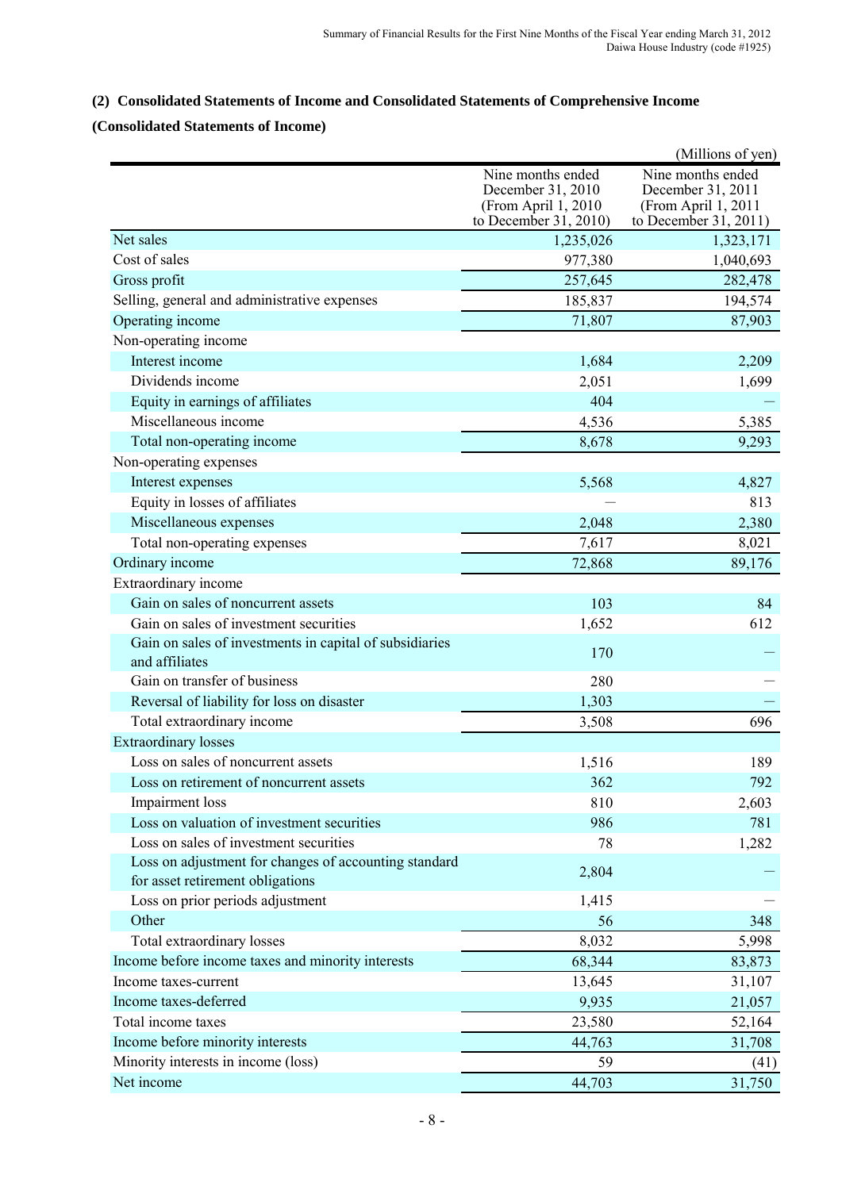### **(2) Consolidated Statements of Income and Consolidated Statements of Comprehensive Income**

## **(Consolidated Statements of Income)**

|                                                                                           |                                                                                         | (Millions of yen)                                                                      |
|-------------------------------------------------------------------------------------------|-----------------------------------------------------------------------------------------|----------------------------------------------------------------------------------------|
|                                                                                           | Nine months ended<br>December 31, 2010<br>(From April 1, 2010)<br>to December 31, 2010) | Nine months ended<br>December 31, 2011<br>(From April 1, 2011<br>to December 31, 2011) |
| Net sales                                                                                 | 1,235,026                                                                               | 1,323,171                                                                              |
| Cost of sales                                                                             | 977,380                                                                                 | 1,040,693                                                                              |
| Gross profit                                                                              | 257,645                                                                                 | 282,478                                                                                |
| Selling, general and administrative expenses                                              | 185,837                                                                                 | 194,574                                                                                |
| Operating income                                                                          | 71,807                                                                                  | 87,903                                                                                 |
| Non-operating income                                                                      |                                                                                         |                                                                                        |
| Interest income                                                                           | 1,684                                                                                   | 2,209                                                                                  |
| Dividends income                                                                          | 2,051                                                                                   | 1,699                                                                                  |
| Equity in earnings of affiliates                                                          | 404                                                                                     |                                                                                        |
| Miscellaneous income                                                                      | 4,536                                                                                   | 5,385                                                                                  |
| Total non-operating income                                                                | 8,678                                                                                   | 9,293                                                                                  |
| Non-operating expenses                                                                    |                                                                                         |                                                                                        |
| Interest expenses                                                                         | 5,568                                                                                   | 4,827                                                                                  |
| Equity in losses of affiliates                                                            |                                                                                         | 813                                                                                    |
| Miscellaneous expenses                                                                    | 2,048                                                                                   | 2,380                                                                                  |
| Total non-operating expenses                                                              | 7,617                                                                                   | 8,021                                                                                  |
| Ordinary income                                                                           | 72,868                                                                                  | 89,176                                                                                 |
| Extraordinary income                                                                      |                                                                                         |                                                                                        |
| Gain on sales of noncurrent assets                                                        | 103                                                                                     | 84                                                                                     |
| Gain on sales of investment securities                                                    | 1,652                                                                                   | 612                                                                                    |
| Gain on sales of investments in capital of subsidiaries<br>and affiliates                 | 170                                                                                     |                                                                                        |
| Gain on transfer of business                                                              | 280                                                                                     |                                                                                        |
| Reversal of liability for loss on disaster                                                | 1,303                                                                                   |                                                                                        |
| Total extraordinary income                                                                | 3,508                                                                                   | 696                                                                                    |
| <b>Extraordinary losses</b>                                                               |                                                                                         |                                                                                        |
| Loss on sales of noncurrent assets                                                        | 1,516                                                                                   | 189                                                                                    |
| Loss on retirement of noncurrent assets                                                   | 362                                                                                     | 792                                                                                    |
| Impairment loss                                                                           | 810                                                                                     | 2,603                                                                                  |
| Loss on valuation of investment securities                                                | 986                                                                                     | 781                                                                                    |
| Loss on sales of investment securities                                                    | 78                                                                                      | 1,282                                                                                  |
| Loss on adjustment for changes of accounting standard<br>for asset retirement obligations | 2,804                                                                                   |                                                                                        |
| Loss on prior periods adjustment                                                          | 1,415                                                                                   |                                                                                        |
| Other                                                                                     | 56                                                                                      | 348                                                                                    |
| Total extraordinary losses                                                                | 8,032                                                                                   | 5,998                                                                                  |
| Income before income taxes and minority interests                                         | 68,344                                                                                  | 83,873                                                                                 |
| Income taxes-current                                                                      | 13,645                                                                                  | 31,107                                                                                 |
| Income taxes-deferred                                                                     | 9,935                                                                                   | 21,057                                                                                 |
| Total income taxes                                                                        | 23,580                                                                                  | 52,164                                                                                 |
| Income before minority interests                                                          | 44,763                                                                                  | 31,708                                                                                 |
| Minority interests in income (loss)                                                       | 59                                                                                      | (41)                                                                                   |
| Net income                                                                                | 44,703                                                                                  | 31,750                                                                                 |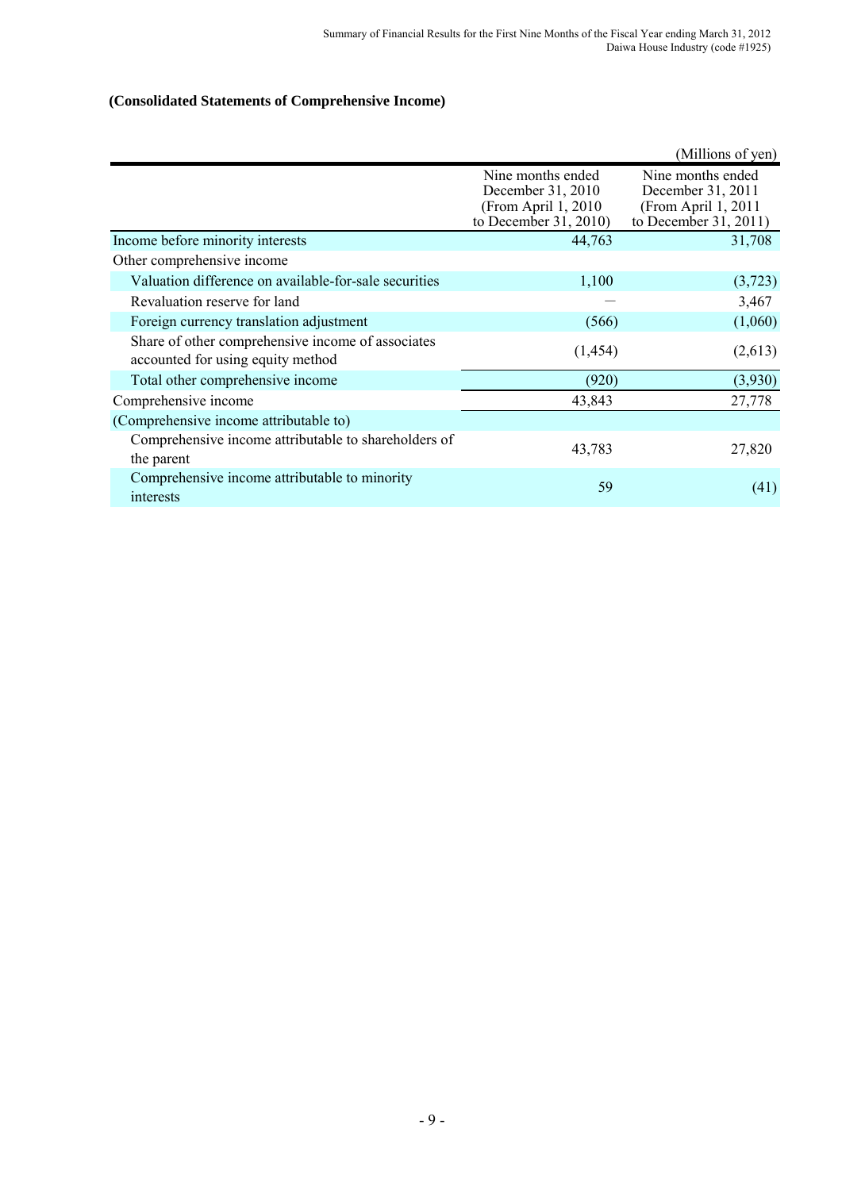### **(Consolidated Statements of Comprehensive Income)**

|                                                                                        |                                                                                         | (Millions of yen)                                                                       |
|----------------------------------------------------------------------------------------|-----------------------------------------------------------------------------------------|-----------------------------------------------------------------------------------------|
|                                                                                        | Nine months ended<br>December 31, 2010<br>(From April 1, 2010)<br>to December 31, 2010) | Nine months ended<br>December 31, 2011<br>(From April 1, 2011)<br>to December 31, 2011) |
| Income before minority interests                                                       | 44,763                                                                                  | 31,708                                                                                  |
| Other comprehensive income                                                             |                                                                                         |                                                                                         |
| Valuation difference on available-for-sale securities                                  | 1,100                                                                                   | (3,723)                                                                                 |
| Revaluation reserve for land                                                           |                                                                                         | 3,467                                                                                   |
| Foreign currency translation adjustment                                                | (566)                                                                                   | (1,060)                                                                                 |
| Share of other comprehensive income of associates<br>accounted for using equity method | (1, 454)                                                                                | (2,613)                                                                                 |
| Total other comprehensive income                                                       | (920)                                                                                   | (3,930)                                                                                 |
| Comprehensive income                                                                   | 43,843                                                                                  | 27,778                                                                                  |
| (Comprehensive income attributable to)                                                 |                                                                                         |                                                                                         |
| Comprehensive income attributable to shareholders of<br>the parent                     | 43,783                                                                                  | 27,820                                                                                  |
| Comprehensive income attributable to minority<br>interests                             | 59                                                                                      | (41)                                                                                    |